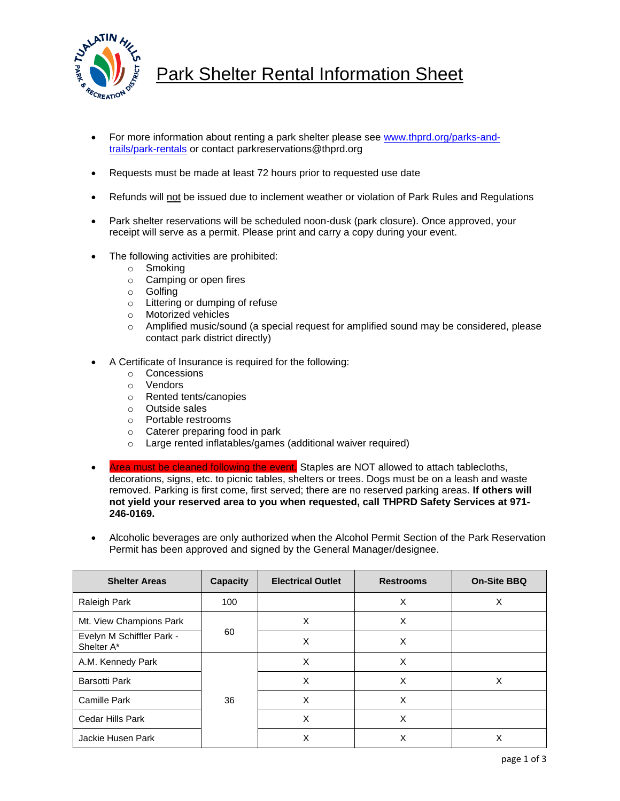

## Park Shelter Rental Information Sheet

- For more information about renting a park shelter please see [www.thprd.org/parks-and](http://www.thprd.org/parks-and-trails/park-rentals)[trails/park-rentals](http://www.thprd.org/parks-and-trails/park-rentals) or contact parkreservations@thprd.org
- Requests must be made at least 72 hours prior to requested use date
- Refunds will not be issued due to inclement weather or violation of Park Rules and Regulations
- Park shelter reservations will be scheduled noon-dusk (park closure). Once approved, your receipt will serve as a permit. Please print and carry a copy during your event.
- The following activities are prohibited:
	- o Smoking
	- o Camping or open fires
	- o Golfing
	- $\circ$  Littering or dumping of refuse<br>  $\circ$  Motorized vehicles
	- Motorized vehicles
	- o Amplified music/sound (a special request for amplified sound may be considered, please contact park district directly)
- A Certificate of Insurance is required for the following:
	- o Concessions
	- o Vendors
	- o Rented tents/canopies
	- o Outside sales
	- o Portable restrooms
	- o Caterer preparing food in park
	- o Large rented inflatables/games (additional waiver required)
- Area must be cleaned following the event. Staples are NOT allowed to attach tablecloths, decorations, signs, etc. to picnic tables, shelters or trees. Dogs must be on a leash and waste removed. Parking is first come, first served; there are no reserved parking areas. **If others will not yield your reserved area to you when requested, call THPRD Safety Services at 971- 246-0169.**
- Alcoholic beverages are only authorized when the Alcohol Permit Section of the Park Reservation Permit has been approved and signed by the General Manager/designee.

| <b>Shelter Areas</b>                    | <b>Capacity</b> | <b>Electrical Outlet</b> | <b>Restrooms</b> | <b>On-Site BBQ</b> |
|-----------------------------------------|-----------------|--------------------------|------------------|--------------------|
| Raleigh Park                            | 100             |                          | X                | X                  |
| Mt. View Champions Park                 | 60              | X                        | X                |                    |
| Evelyn M Schiffler Park -<br>Shelter A* |                 | X                        | X                |                    |
| A.M. Kennedy Park                       | 36              | X                        | X                |                    |
| <b>Barsotti Park</b>                    |                 | X                        | X                | X                  |
| <b>Camille Park</b>                     |                 | X                        | X                |                    |
| Cedar Hills Park                        |                 | X                        | X                |                    |
| Jackie Husen Park                       |                 | Χ                        | X                | X                  |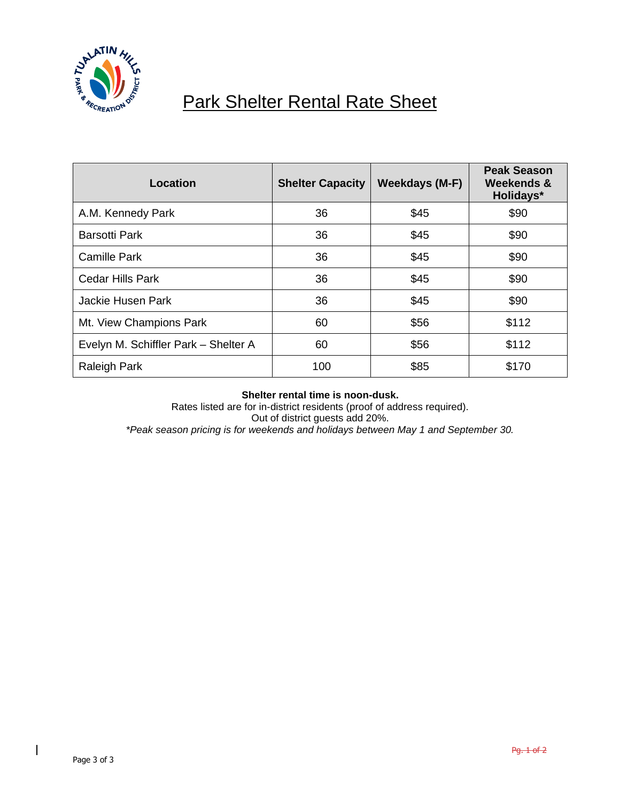

## Park Shelter Rental Rate Sheet

| Location                             | <b>Shelter Capacity</b> | Weekdays (M-F) | <b>Peak Season</b><br>Weekends &<br>Holidays* |
|--------------------------------------|-------------------------|----------------|-----------------------------------------------|
| A.M. Kennedy Park                    | 36                      | \$45           | \$90                                          |
| <b>Barsotti Park</b>                 | 36                      | \$45           | \$90                                          |
| <b>Camille Park</b>                  | 36                      | \$45           | \$90                                          |
| <b>Cedar Hills Park</b>              | 36                      | \$45           | \$90                                          |
| Jackie Husen Park                    | 36                      | \$45           | \$90                                          |
| Mt. View Champions Park              | 60                      | \$56           | \$112                                         |
| Evelyn M. Schiffler Park - Shelter A | 60                      | \$56           | \$112                                         |
| <b>Raleigh Park</b>                  | 100                     | \$85           | \$170                                         |

## **Shelter rental time is noon-dusk.**

Rates listed are for in-district residents (proof of address required). Out of district guests add 20%. *\*Peak season pricing is for weekends and holidays between May 1 and September 30.*

 $\overline{\phantom{a}}$